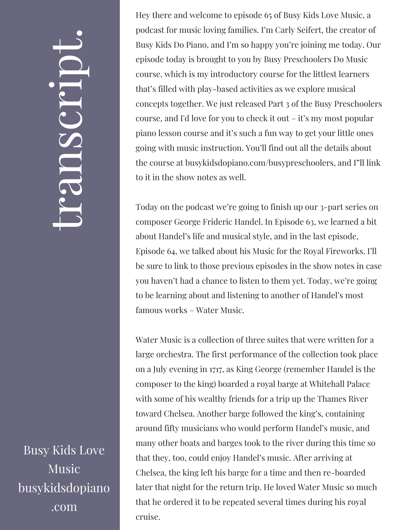## $\leftarrow$ ra<br>S n $\boldsymbol{C}$  $\bigcup$ r $\bullet$   $\overline{\phantom{1}}$  $\boxed{\phantom{1}}$  $\overline{\phantom{a}}$  $\bullet$

Busy Kids Love Music busykidsdopiano .com

Hey there and welcome to episode 65 of Busy Kids Love Music, a podcast for music loving families. I'm Carly Seifert, the creator of Busy Kids Do Piano, and I'm so happy you're joining me today. Our episode today is brought to you by Busy Preschoolers Do Music course, which is my introductory course for the littlest learners that's filled with play-based activities as we explore musical concepts together. We just released Part 3 of the Busy Preschoolers course, and I'd love for you to check it out – it's my most popular piano lesson course and it's such a fun way to get your little ones going with music instruction. You'll find out all the details about the course at busykidsdopiano.com/busypreschoolers, and I"ll link to it in the show notes as well.

Today on the podcast we're going to finish up our 3-part series on composer George Frideric Handel. In Episode 63, we learned a bit about Handel's life and musical style, and in the last episode, Episode 64, we talked about his Music for the Royal Fireworks. I'll be sure to link to those previous episodes in the show notes in case you haven't had a chance to listen to them yet. Today, we're going to be learning about and listening to another of Handel's most famous works – Water Music.

Water Music is a collection of three suites that were written for a large orchestra. The first performance of the collection took place on a July evening in 1717, as King George (remember Handel is the composer to the king) boarded a royal barge at Whitehall Palace with some of his wealthy friends for a trip up the Thames River toward Chelsea. Another barge followed the king's, containing around fifty musicians who would perform Handel's music, and many other boats and barges took to the river during this time so that they, too, could enjoy Handel's music. After arriving at Chelsea, the king left his barge for a time and then re-boarded later that night for the return trip. He loved Water Music so much that he ordered it to be repeated several times during his royal cruise.